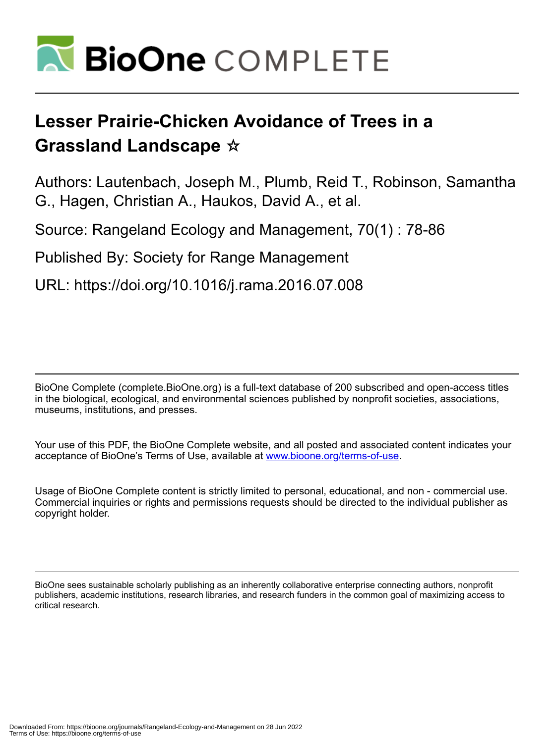

# **Lesser Prairie-Chicken Avoidance of Trees in a Grassland Landscape** ☆

Authors: Lautenbach, Joseph M., Plumb, Reid T., Robinson, Samantha G., Hagen, Christian A., Haukos, David A., et al.

Source: Rangeland Ecology and Management, 70(1) : 78-86

Published By: Society for Range Management

URL: https://doi.org/10.1016/j.rama.2016.07.008

BioOne Complete (complete.BioOne.org) is a full-text database of 200 subscribed and open-access titles in the biological, ecological, and environmental sciences published by nonprofit societies, associations, museums, institutions, and presses.

Your use of this PDF, the BioOne Complete website, and all posted and associated content indicates your acceptance of BioOne's Terms of Use, available at www.bioone.org/terms-of-use.

Usage of BioOne Complete content is strictly limited to personal, educational, and non - commercial use. Commercial inquiries or rights and permissions requests should be directed to the individual publisher as copyright holder.

BioOne sees sustainable scholarly publishing as an inherently collaborative enterprise connecting authors, nonprofit publishers, academic institutions, research libraries, and research funders in the common goal of maximizing access to critical research.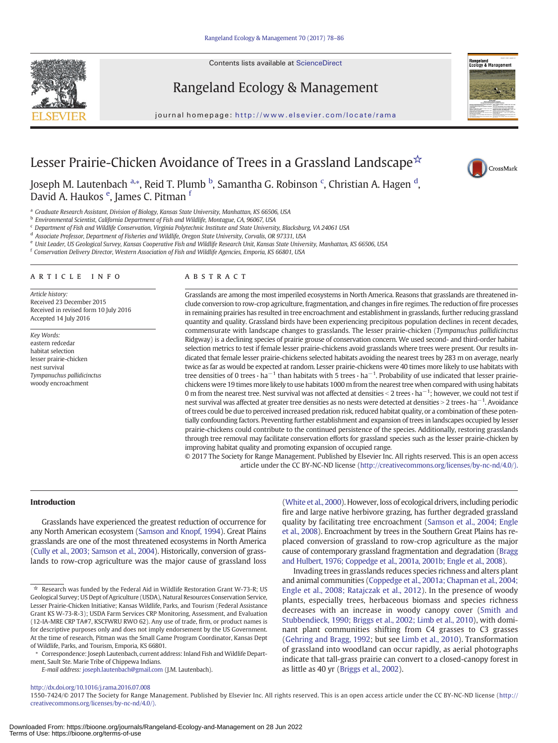Contents lists available at ScienceDirect





journal homepage: http://www.elsevier.com/locate/rama



CrossMark

# Lesser Prairie-Chicken Avoidance of Trees in a Grassland Landscape☆

Joseph M. Lautenbach <sup>a,</sup>\*, Reid T. Plumb <sup>b</sup>, Samantha G. Robinson <sup>c</sup>, Christian A. Hagen <sup>d</sup>, David A. Haukos <sup>e</sup>, James C. Pitman <sup>f</sup>

<sup>a</sup> Graduate Research Assistant, Division of Biology, Kansas State University, Manhattan, KS 66506, USA

<sup>b</sup> Environmental Scientist, California Department of Fish and Wildlife, Montague, CA, 96067, USA

<sup>c</sup> Department of Fish and Wildlife Conservation, Virginia Polytechnic Institute and State University, Blacksburg, VA 24061 USA

<sup>d</sup> Associate Professor, Department of Fisheries and Wildlife, Oregon State University, Corvalis, OR 97331, USA

<sup>e</sup> Unit Leader, US Geological Survey, Kansas Cooperative Fish and Wildlife Research Unit, Kansas State University, Manhattan, KS 66506, USA

<sup>f</sup> Conservation Delivery Director, Western Association of Fish and Wildlife Agencies, Emporia, KS 66801, USA

#### article info abstract

Article history: Received 23 December 2015 Received in revised form 10 July 2016 Accepted 14 July 2016

Key Words: eastern redcedar habitat selection lesser prairie-chicken nest survival Tympanuchus pallidicinctus woody encroachment

Grasslands are among the most imperiled ecosystems in North America. Reasons that grasslands are threatened include conversion to row-crop agriculture, fragmentation, and changes in fire regimes. The reduction of fire processes in remaining prairies has resulted in tree encroachment and establishment in grasslands, further reducing grassland quantity and quality. Grassland birds have been experiencing precipitous population declines in recent decades, commensurate with landscape changes to grasslands. The lesser prairie-chicken (Tympanuchus pallidicinctus Ridgway) is a declining species of prairie grouse of conservation concern. We used second- and third-order habitat selection metrics to test if female lesser prairie-chickens avoid grasslands where trees were present. Our results indicated that female lesser prairie-chickens selected habitats avoiding the nearest trees by 283 m on average, nearly twice as far as would be expected at random. Lesser prairie-chickens were 40 times more likely to use habitats with tree densities of 0 trees  $\cdot$  ha<sup>-1</sup> than habitats with 5 trees  $\cdot$  ha<sup>-1</sup>. Probability of use indicated that lesser prairiechickens were 19 times more likely to use habitats 1000 m from the nearest tree when compared with using habitats 0 m from the nearest tree. Nest survival was not affected at densities < 2 trees  $\cdot$  ha $^{-1}$ ; however, we could not test if nest survival was affected at greater tree densities as no nests were detected at densities > 2 trees ⋅ ha<sup>-1</sup>. Avoidance of trees could be due to perceived increased predation risk, reduced habitat quality, or a combination of these potentially confounding factors. Preventing further establishment and expansion of trees in landscapes occupied by lesser prairie-chickens could contribute to the continued persistence of the species. Additionally, restoring grasslands through tree removal may facilitate conservation efforts for grassland species such as the lesser prairie-chicken by improving habitat quality and promoting expansion of occupied range.

© 2017 The Society for Range Management. Published by Elsevier Inc. All rights reserved. This is an open access article under the CC BY-NC-ND license (http://creativecommons.org/licenses/by-nc-nd/4.0/).

#### Introduction

Grasslands have experienced the greatest reduction of occurrence for any North American ecosystem ([Samson and Knopf, 1994](#page-8-0)). Great Plains grasslands are one of the most threatened ecosystems in North America ([Cully et al., 2003; Samson et al., 2004](#page-8-0)). Historically, conversion of grasslands to row-crop agriculture was the major cause of grassland loss ([White et al., 2000](#page-9-0)). However, loss of ecological drivers, including periodic fire and large native herbivore grazing, has further degraded grassland quality by facilitating tree encroachment [\(Samson et al., 2004; Engle](#page-8-0) [et al., 2008](#page-8-0)). Encroachment by trees in the Southern Great Plains has replaced conversion of grassland to row-crop agriculture as the major cause of contemporary grassland fragmentation and degradation ([Bragg](#page-8-0) [and Hulbert, 1976; Coppedge et al., 2001a, 2001b; Engle et al., 2008\)](#page-8-0).

Invading trees in grasslands reduces species richness and alters plant and animal communities ([Coppedge et al., 2001a; Chapman et al., 2004;](#page-8-0) [Engle et al., 2008; Ratajczak et al., 2012\)](#page-8-0). In the presence of woody plants, especially trees, herbaceous biomass and species richness decreases with an increase in woody canopy cover [\(Smith and](#page-9-0) [Stubbendieck, 1990; Briggs et al., 2002; Limb et al., 2010](#page-9-0)), with dominant plant communities shifting from C4 grasses to C3 grasses ([Gehring and Bragg, 1992](#page-8-0); but see [Limb et al., 2010\)](#page-8-0). Transformation of grassland into woodland can occur rapidly, as aerial photographs indicate that tall-grass prairie can convert to a closed-canopy forest in as little as 40 yr ([Briggs et al., 2002](#page-8-0)).

<sup>☆</sup> Research was funded by the Federal Aid in Wildlife Restoration Grant W-73-R; US Geological Survey; US Dept of Agriculture (USDA), Natural Resources Conservation Service, Lesser Prairie-Chicken Initiative; Kansas Wildlife, Parks, and Tourism (Federal Assistance Grant KS W-73-R-3); USDA Farm Services CRP Monitoring, Assessment, and Evaluation (12-IA-MRE CRP TA#7, KSCFWRU RWO 62). Any use of trade, firm, or product names is for descriptive purposes only and does not imply endorsement by the US Government. At the time of research, Pitman was the Small Game Program Coordinator, Kansas Dept of Wildlife, Parks, and Tourism, Emporia, KS 66801.

<sup>⁎</sup> Correspondence: Joseph Lautenbach, current address: Inland Fish and Wildlife Department, Sault Ste. Marie Tribe of Chippewa Indians.

E-mail address: [joseph.lautenbach@gmail.com](mailto:joseph.lautenbach@gmail.com) (J.M. Lautenbach).

<sup>1550-7424/© 2017</sup> The Society for Range Management. Published by Elsevier Inc. All rights reserved. This is an open access article under the CC BY-NC-ND license (http:// creativecommons.org/licenses/by-nc-nd/4.0/).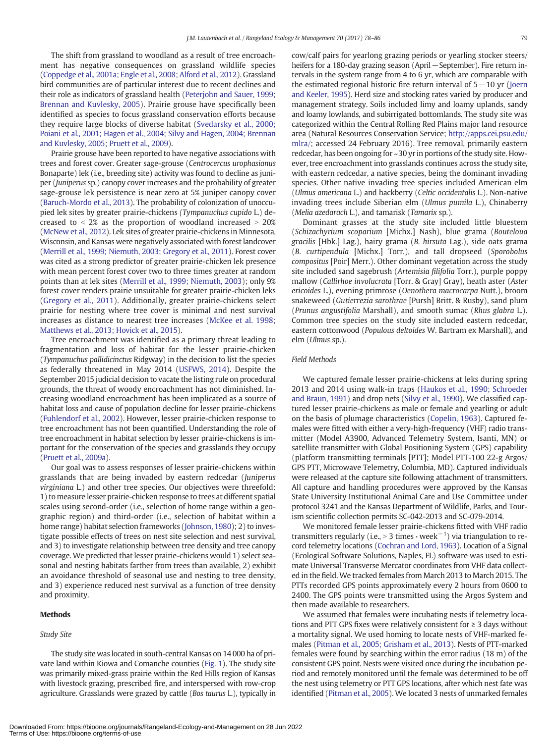The shift from grassland to woodland as a result of tree encroachment has negative consequences on grassland wildlife species [\(Coppedge et al., 2001a; Engle et al., 2008; Alford et al., 2012](#page-8-0)). Grassland bird communities are of particular interest due to recent declines and their role as indicators of grassland health [\(Peterjohn and Sauer, 1999;](#page-8-0) [Brennan and Kuvlesky, 2005](#page-8-0)). Prairie grouse have specifically been identified as species to focus grassland conservation efforts because they require large blocks of diverse habitat ([Svedarsky et al., 2000;](#page-9-0) [Poiani et al., 2001; Hagen et al., 2004; Silvy and Hagen, 2004; Brennan](#page-9-0) [and Kuvlesky, 2005; Pruett et al., 2009\)](#page-9-0).

Prairie grouse have been reported to have negative associations with trees and forest cover. Greater sage-grouse (Centrocercus urophasianus Bonaparte) lek (i.e., breeding site) activity was found to decline as juniper (Juniperus sp.) canopy cover increases and the probability of greater sage-grouse lek persistence is near zero at 5% juniper canopy cover [\(Baruch-Mordo et al., 2013](#page-8-0)). The probability of colonization of unoccupied lek sites by greater prairie-chickens (Tympanuchus cupido L.) decreased to  $\langle 2 \rangle$  as the proportion of woodland increased  $> 20\%$ [\(McNew et al., 2012\)](#page-8-0). Lek sites of greater prairie-chickens in Minnesota, Wisconsin, and Kansas were negatively associated with forest landcover [\(Merrill et al., 1999; Niemuth, 2003; Gregory et al., 2011](#page-8-0)). Forest cover was cited as a strong predictor of greater prairie-chicken lek presence with mean percent forest cover two to three times greater at random points than at lek sites ([Merrill et al., 1999; Niemuth, 2003](#page-8-0)); only 9% forest cover renders prairie unsuitable for greater prairie-chicken leks [\(Gregory et al., 2011](#page-8-0)). Additionally, greater prairie-chickens select prairie for nesting where tree cover is minimal and nest survival increases as distance to nearest tree increases ([McKee et al. 1998;](#page-8-0) [Matthews et al., 2013; Hovick et al., 2015\)](#page-8-0).

Tree encroachment was identified as a primary threat leading to fragmentation and loss of habitat for the lesser prairie-chicken (Tympanuchus pallidicinctus Ridgway) in the decision to list the species as federally threatened in May 2014 [\(USFWS, 2014](#page-9-0)). Despite the September 2015 judicial decision to vacate the listing rule on procedural grounds, the threat of woody encroachment has not diminished. Increasing woodland encroachment has been implicated as a source of habitat loss and cause of population decline for lesser prairie-chickens [\(Fuhlendorf et al., 2002](#page-8-0)). However, lesser prairie-chicken response to tree encroachment has not been quantified. Understanding the role of tree encroachment in habitat selection by lesser prairie-chickens is important for the conservation of the species and grasslands they occupy [\(Pruett et al., 2009a](#page-8-0)).

Our goal was to assess responses of lesser prairie-chickens within grasslands that are being invaded by eastern redcedar (Juniperus virginiana L.) and other tree species. Our objectives were threefold: 1) to measure lesser prairie-chicken response to trees at different spatial scales using second-order (i.e., selection of home range within a geographic region) and third-order (i.e., selection of habitat within a home range) habitat selection frameworks [\(Johnson, 1980](#page-8-0)); 2) to investigate possible effects of trees on nest site selection and nest survival, and 3) to investigate relationship between tree density and tree canopy coverage. We predicted that lesser prairie-chickens would 1) select seasonal and nesting habitats farther from trees than available, 2) exhibit an avoidance threshold of seasonal use and nesting to tree density, and 3) experience reduced nest survival as a function of tree density and proximity.

#### Methods

# Study Site

The study site was located in south-central Kansas on 14 000 ha of private land within Kiowa and Comanche counties ([Fig. 1\)](#page-3-0). The study site was primarily mixed-grass prairie within the Red Hills region of Kansas with livestock grazing, prescribed fire, and interspersed with row-crop agriculture. Grasslands were grazed by cattle (Bos taurus L.), typically in cow/calf pairs for yearlong grazing periods or yearling stocker steers/ heifers for a 180-day grazing season (April – September). Fire return intervals in the system range from 4 to 6 yr, which are comparable with the estimated regional historic fire return interval of 5−10 yr ([Joern](#page-8-0) [and Keeler, 1995\)](#page-8-0). Herd size and stocking rates varied by producer and management strategy. Soils included limy and loamy uplands, sandy and loamy lowlands, and subirrigated bottomlands. The study site was categorized within the Central Rolling Red Plains major land resource area (Natural Resources Conservation Service; [http://apps.cei.psu.edu/](http://apps.cei.psu.edu/mlra/) [mlra/;](http://apps.cei.psu.edu/mlra/) accessed 24 February 2016). Tree removal, primarily eastern redcedar, has been ongoing for ~30 yr in portions of the study site. However, tree encroachment into grasslands continues across the study site, with eastern redcedar, a native species, being the dominant invading species. Other native invading tree species included American elm (Ulmus americana L.) and hackberry (Celtic occidentalis L.). Non-native invading trees include Siberian elm (Ulmus pumila L.), Chinaberry (Melia azedarach L.), and tamarisk (Tamarix sp.).

Dominant grasses at the study site included little bluestem (Schizachyrium scoparium [Michx.] Nash), blue grama (Bouteloua gracilis [Hbk.] Lag.), hairy grama (B. hirsuta Lag.), side oats grama (B. curtipendula [Michx.] Torr.), and tall dropseed (Sporobolus compositus [Poir] Merr.). Other dominant vegetation across the study site included sand sagebrush (Artemisia filifolia Torr.), purple poppy mallow (Callirhoe involucrata [Torr. & Gray] Gray), heath aster (Aster ericoides L.), evening primrose (Oenothera macrocarpa Nutt.), broom snakeweed (Gutierrezia sarothrae [Pursh] Britt. & Rusby), sand plum (Prunus angustifolia Marshall), and smooth sumac (Rhus glabra L.). Common tree species on the study site included eastern redcedar, eastern cottonwood (Populous deltoides W. Bartram ex Marshall), and elm (Ulmus sp.).

# Field Methods

We captured female lesser prairie-chickens at leks during spring 2013 and 2014 using walk-in traps ([Haukos et al., 1990; Schroeder](#page-8-0) [and Braun, 1991](#page-8-0)) and drop nets ([Silvy et al., 1990](#page-9-0)). We classified captured lesser prairie-chickens as male or female and yearling or adult on the basis of plumage characteristics [\(Copelin, 1963](#page-8-0)). Captured females were fitted with either a very-high-frequency (VHF) radio transmitter (Model A3900, Advanced Telemetry System, Isanti, MN) or satellite transmitter with Global Positioning System (GPS) capability (platform transmitting terminals [PTT]; Model PTT-100 22-g Argos/ GPS PTT, Microwave Telemetry, Columbia, MD). Captured individuals were released at the capture site following attachment of transmitters. All capture and handling procedures were approved by the Kansas State University Institutional Animal Care and Use Committee under protocol 3241 and the Kansas Department of Wildlife, Parks, and Tourism scientific collection permits SC-042-2013 and SC-079-2014.

We monitored female lesser prairie-chickens fitted with VHF radio transmitters regularly (i.e., > 3 times  $\cdot$  week $^{-1})$  via triangulation to record telemetry locations [\(Cochran and Lord, 1963](#page-8-0)). Location of a Signal (Ecological Software Solutions, Naples, FL) software was used to estimate Universal Transverse Mercator coordinates from VHF data collected in the field. We tracked females from March 2013 to March 2015. The PTTs recorded GPS points approximately every 2 hours from 0600 to 2400. The GPS points were transmitted using the Argos System and then made available to researchers.

We assumed that females were incubating nests if telemetry locations and PTT GPS fixes were relatively consistent for  $\geq 3$  days without a mortality signal. We used homing to locate nests of VHF-marked females [\(Pitman et al., 2005; Grisham et al., 2013\)](#page-8-0). Nests of PTT-marked females were found by searching within the error radius (18 m) of the consistent GPS point. Nests were visited once during the incubation period and remotely monitored until the female was determined to be off the nest using telemetry or PTT GPS locations, after which nest fate was identified ([Pitman et al., 2005\)](#page-8-0). We located 3 nests of unmarked females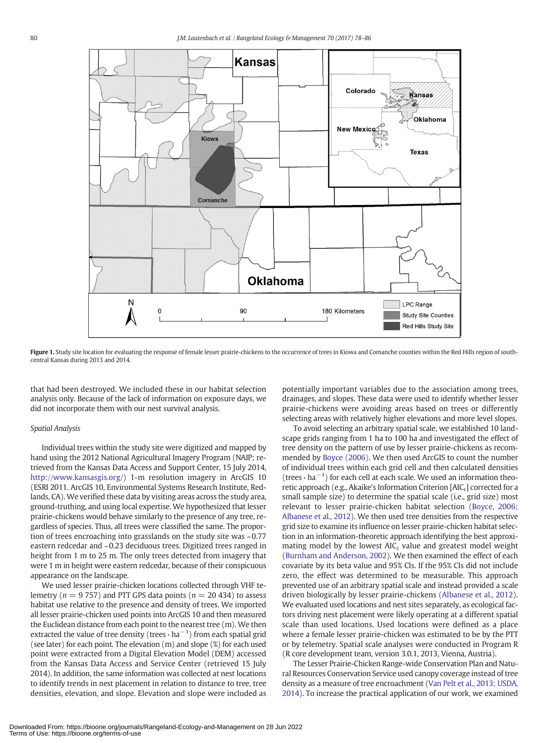<span id="page-3-0"></span>

Figure 1. Study site location for evaluating the response of female lesser prairie-chickens to the occurrence of trees in Kiowa and Comanche counties within the Red Hills region of southcentral Kansas during 2013 and 2014.

that had been destroyed. We included these in our habitat selection analysis only. Because of the lack of information on exposure days, we did not incorporate them with our nest survival analysis.

# Spatial Analysis

Individual trees within the study site were digitized and mapped by hand using the 2012 National Agricultural Imagery Program (NAIP; retrieved from the Kansas Data Access and Support Center, 15 July 2014, <http://www.kansasgis.org>/) 1-m resolution imagery in ArcGIS 10 (ESRI 2011. ArcGIS 10, Environmental Systems Research Institute, Redlands, CA).We verified these data by visiting areas across the study area, ground-truthing, and using local expertise. We hypothesized that lesser prairie-chickens would behave similarly to the presence of any tree, regardless of species. Thus, all trees were classified the same. The proportion of trees encroaching into grasslands on the study site was ~0.77 eastern redcedar and ~0.23 deciduous trees. Digitized trees ranged in height from 1 m to 25 m. The only trees detected from imagery that were 1 m in height were eastern redcedar, because of their conspicuous appearance on the landscape.

We used lesser prairie-chicken locations collected through VHF telemetry ( $n = 9757$ ) and PTT GPS data points ( $n = 20434$ ) to assess habitat use relative to the presence and density of trees. We imported all lesser prairie-chicken used points into ArcGIS 10 and then measured the Euclidean distance from each point to the nearest tree (m). We then extracted the value of tree density (trees  $\cdot$  ha<sup>-1</sup>) from each spatial grid (see later) for each point. The elevation (m) and slope (%) for each used point were extracted from a Digital Elevation Model (DEM) accessed from the Kansas Data Access and Service Center (retrieved 15 July 2014). In addition, the same information was collected at nest locations to identify trends in nest placement in relation to distance to tree, tree densities, elevation, and slope. Elevation and slope were included as potentially important variables due to the association among trees, drainages, and slopes. These data were used to identify whether lesser prairie-chickens were avoiding areas based on trees or differently selecting areas with relatively higher elevations and more level slopes.

To avoid selecting an arbitrary spatial scale, we established 10 landscape grids ranging from 1 ha to 100 ha and investigated the effect of tree density on the pattern of use by lesser prairie-chickens as recommended by [Boyce \(2006\).](#page-8-0) We then used ArcGIS to count the number of individual trees within each grid cell and then calculated densities (trees  $\cdot$  ha<sup>-1</sup>) for each cell at each scale. We used an information theoretic approach (e.g., Akaike's Information Criterion  $[AIC<sub>c</sub>]$  corrected for a small sample size) to determine the spatial scale (i.e., grid size) most relevant to lesser prairie-chicken habitat selection ([Boyce, 2006;](#page-8-0) [Albanese et al., 2012](#page-8-0)). We then used tree densities from the respective grid size to examine its influence on lesser prairie-chicken habitat selection in an information-theoretic approach identifying the best approximating model by the lowest  $AIC_c$  value and greatest model weight ([Burnham and Anderson, 2002\)](#page-8-0). We then examined the effect of each covariate by its beta value and 95% CIs. If the 95% CIs did not include zero, the effect was determined to be measurable. This approach prevented use of an arbitrary spatial scale and instead provided a scale driven biologically by lesser prairie-chickens [\(Albanese et al., 2012](#page-8-0)). We evaluated used locations and nest sites separately, as ecological factors driving nest placement were likely operating at a different spatial scale than used locations. Used locations were defined as a place where a female lesser prairie-chicken was estimated to be by the PTT or by telemetry. Spatial scale analyses were conducted in Program R (R core development team, version 3.0.1, 2013, Vienna, Austria).

The Lesser Prairie-Chicken Range-wide Conservation Plan and Natural Resources Conservation Service used canopy coverage instead of tree density as a measure of tree encroachment [\(Van Pelt et al., 2013; USDA,](#page-9-0) [2014](#page-9-0)). To increase the practical application of our work, we examined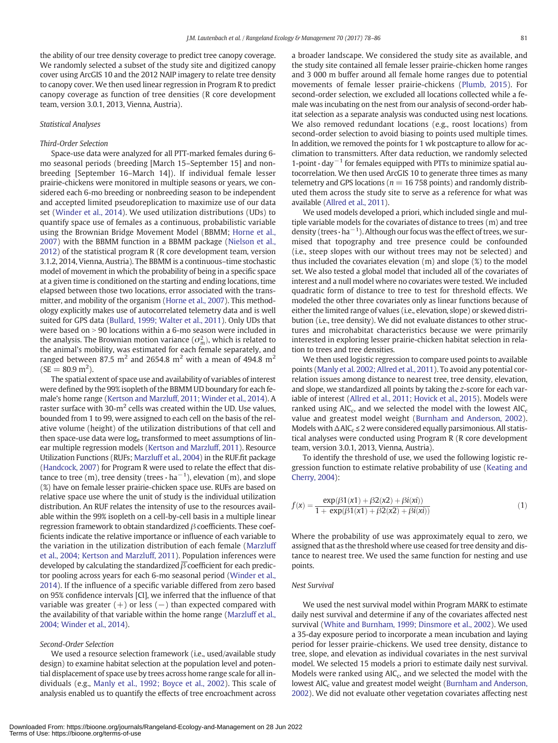the ability of our tree density coverage to predict tree canopy coverage. We randomly selected a subset of the study site and digitized canopy cover using ArcGIS 10 and the 2012 NAIP imagery to relate tree density to canopy cover. We then used linear regression in Program R to predict canopy coverage as function of tree densities (R core development team, version 3.0.1, 2013, Vienna, Austria).

# Statistical Analyses

### Third-Order Selection

Space-use data were analyzed for all PTT-marked females during 6 mo seasonal periods (breeding [March 15–September 15] and nonbreeding [September 16–March 14]). If individual female lesser prairie-chickens were monitored in multiple seasons or years, we considered each 6-mo breeding or nonbreeding season to be independent and accepted limited pseudoreplication to maximize use of our data set [\(Winder et al., 2014\)](#page-9-0). We used utilization distributions (UDs) to quantify space use of females as a continuous, probabilistic variable using the Brownian Bridge Movement Model (BBMM; [Horne et al.,](#page-8-0) [2007\)](#page-8-0) with the BBMM function in a BBMM package ([Nielson et al.,](#page-8-0) [2012\)](#page-8-0) of the statistical program R (R core development team, version 3.1.2, 2014, Vienna, Austria). The BBMM is a continuous–time stochastic model of movement in which the probability of being in a specific space at a given time is conditioned on the starting and ending locations, time elapsed between those two locations, error associated with the transmitter, and mobility of the organism [\(Horne et al., 2007\)](#page-8-0). This methodology explicitly makes use of autocorrelated telemetry data and is well suited for GPS data ([Bullard, 1999; Walter et al., 2011\)](#page-8-0). Only UDs that were based on  $> 90$  locations within a 6-mo season were included in the analysis. The Brownian motion variance  $(\sigma_m^2)$ , which is related to the animal's mobility, was estimated for each female separately, and ranged between 87.5 m<sup>2</sup> and 2654.8 m<sup>2</sup> with a mean of 494.8 m<sup>2</sup>  $(SE = 80.9 \text{ m}^2).$ 

The spatial extent of space use and availability of variables of interest were defined by the 99% isopleth of the BBMM UD boundary for each female's home range [\(Kertson and Marzluff, 2011; Winder et al., 2014](#page-8-0)). A raster surface with  $30-m^2$  cells was created within the UD. Use values, bounded from 1 to 99, were assigned to each cell on the basis of the relative volume (height) of the utilization distributions of that cell and then space-use data were  $log<sub>e</sub>$  transformed to meet assumptions of linear multiple regression models ([Kertson and Marzluff, 2011](#page-8-0)). Resource Utilization Functions (RUFs; [Marzluff et al., 2004](#page-8-0)) in the RUF.fit package [\(Handcock, 2007\)](#page-8-0) for Program R were used to relate the effect that distance to tree (m), tree density (trees  $\cdot$  ha $^{-1}$ ), elevation (m), and slope (%) have on female lesser prairie-chicken space use. RUFs are based on relative space use where the unit of study is the individual utilization distribution. An RUF relates the intensity of use to the resources available within the 99% isopleth on a cell-by-cell basis in a multiple linear regression framework to obtain standardized  $β$  coefficients. These coefficients indicate the relative importance or influence of each variable to the variation in the utilization distribution of each female [\(Marzluff](#page-8-0) [et al., 2004; Kertson and Marzluff, 2011\)](#page-8-0). Population inferences were developed by calculating the standardized  $\overline{\beta}$  coefficient for each predictor pooling across years for each 6-mo seasonal period [\(Winder et al.,](#page-9-0) [2014\)](#page-9-0). If the influence of a specific variable differed from zero based on 95% confidence intervals [CI], we inferred that the influence of that variable was greater  $(+)$  or less  $(-)$  than expected compared with the availability of that variable within the home range [\(Marzluff et al.,](#page-8-0) [2004; Winder et al., 2014\)](#page-8-0).

# Second-Order Selection

We used a resource selection framework (i.e., used/available study design) to examine habitat selection at the population level and potential displacement of space use by trees across home range scale for all individuals (e.g., [Manly et al., 1992; Boyce et al., 2002](#page-8-0)). This scale of analysis enabled us to quantify the effects of tree encroachment across a broader landscape. We considered the study site as available, and the study site contained all female lesser prairie-chicken home ranges and 3 000 m buffer around all female home ranges due to potential movements of female lesser prairie-chickens ([Plumb, 2015](#page-8-0)). For second-order selection, we excluded all locations collected while a female was incubating on the nest from our analysis of second-order habitat selection as a separate analysis was conducted using nest locations. We also removed redundant locations (e.g., roost locations) from second-order selection to avoid biasing to points used multiple times. In addition, we removed the points for 1 wk postcapture to allow for acclimation to transmitters. After data reduction, we randomly selected 1-point  $\cdot$  day<sup> $-1$ </sup> for females equipped with PTTs to minimize spatial autocorrelation. We then used ArcGIS 10 to generate three times as many telemetry and GPS locations ( $n = 16758$  points) and randomly distributed them across the study site to serve as a reference for what was available [\(Allred et al., 2011](#page-8-0)).

We used models developed a priori, which included single and multiple variable models for the covariates of distance to trees (m) and tree density (trees $\cdot$  ha $^{-1}$ ). Although our focus was the effect of trees, we surmised that topography and tree presence could be confounded (i.e., steep slopes with our without trees may not be selected) and thus included the covariates elevation (m) and slope (%) to the model set. We also tested a global model that included all of the covariates of interest and a null model where no covariates were tested. We included quadratic form of distance to tree to test for threshold effects. We modeled the other three covariates only as linear functions because of either the limited range of values (i.e., elevation, slope) or skewed distribution (i.e., tree density). We did not evaluate distances to other structures and microhabitat characteristics because we were primarily interested in exploring lesser prairie-chicken habitat selection in relation to trees and tree densities.

We then used logistic regression to compare used points to available points ([Manly et al. 2002; Allred et al., 2011\)](#page-8-0). To avoid any potential correlation issues among distance to nearest tree, tree density, elevation, and slope, we standardized all points by taking the z-score for each variable of interest ([Allred et al., 2011; Hovick et al., 2015](#page-8-0)). Models were ranked using  $AIC_c$ , and we selected the model with the lowest  $AIC_c$ value and greatest model weight ([Burnham and Anderson, 2002](#page-8-0)). Models with  $\triangle$ AIC<sub>c</sub>  $\leq$  2 were considered equally parsimonious. All statistical analyses were conducted using Program R (R core development team, version 3.0.1, 2013, Vienna, Austria).

To identify the threshold of use, we used the following logistic regression function to estimate relative probability of use ([Keating and](#page-8-0) [Cherry, 2004](#page-8-0)):

$$
f(x) = \frac{\exp(\beta 1(x1) + \beta 2(x2) + \beta i(xi))}{1 + \exp(\beta 1(x1) + \beta 2(x2) + \beta i(xi))}
$$
(1)

Where the probability of use was approximately equal to zero, we assigned that as the threshold where use ceased for tree density and distance to nearest tree. We used the same function for nesting and use points.

#### Nest Survival

We used the nest survival model within Program MARK to estimate daily nest survival and determine if any of the covariates affected nest survival ([White and Burnham, 1999; Dinsmore et al., 2002](#page-9-0)). We used a 35-day exposure period to incorporate a mean incubation and laying period for lesser prairie-chickens. We used tree density, distance to tree, slope, and elevation as individual covariates in the nest survival model. We selected 15 models a priori to estimate daily nest survival. Models were ranked using  $AIC_c$ , and we selected the model with the lowest AIC<sub>c</sub> value and greatest model weight [\(Burnham and Anderson,](#page-8-0) [2002\)](#page-8-0). We did not evaluate other vegetation covariates affecting nest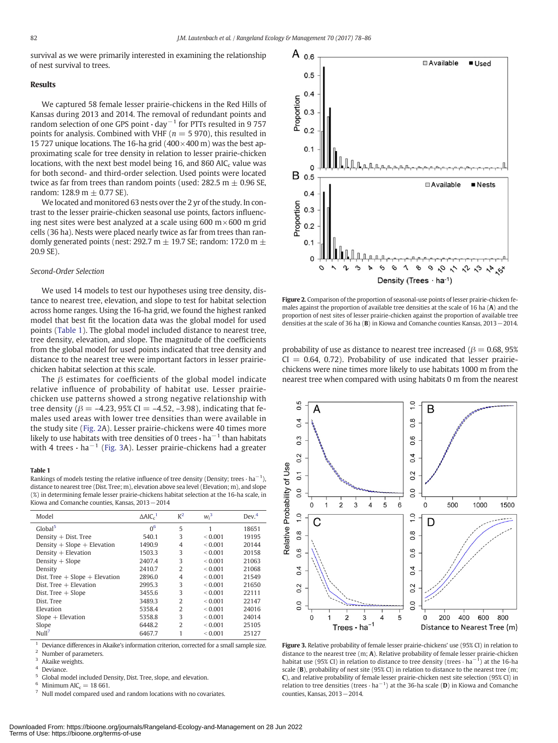<span id="page-5-0"></span>survival as we were primarily interested in examining the relationship of nest survival to trees.

#### Results

We captured 58 female lesser prairie-chickens in the Red Hills of Kansas during 2013 and 2014. The removal of redundant points and random selection of one GPS point  $\cdot$  day<sup>-1</sup> for PTTs resulted in 9 757 points for analysis. Combined with VHF ( $n = 5970$ ), this resulted in 15 727 unique locations. The 16-ha grid ( $400 \times 400$  m) was the best approximating scale for tree density in relation to lesser prairie-chicken locations, with the next best model being 16, and 860 AIC $<sub>c</sub>$  value was</sub> for both second- and third-order selection. Used points were located twice as far from trees than random points (used:  $282.5$  m  $\pm$  0.96 SE, random: 128.9 m  $\pm$  0.77 SE).

We located and monitored 63 nests over the 2 yr of the study. In contrast to the lesser prairie-chicken seasonal use points, factors influencing nest sites were best analyzed at a scale using 600  $m \times 600$  m grid cells (36 ha). Nests were placed nearly twice as far from trees than randomly generated points (nest: 292.7 m  $\pm$  19.7 SE; random: 172.0 m  $\pm$ 20.9 SE).

#### Second-Order Selection

We used 14 models to test our hypotheses using tree density, distance to nearest tree, elevation, and slope to test for habitat selection across home ranges. Using the 16-ha grid, we found the highest ranked model that best fit the location data was the global model for used points (Table 1). The global model included distance to nearest tree, tree density, elevation, and slope. The magnitude of the coefficients from the global model for used points indicated that tree density and distance to the nearest tree were important factors in lesser prairiechicken habitat selection at this scale.

The  $\beta$  estimates for coefficients of the global model indicate relative influence of probability of habitat use. Lesser prairiechicken use patterns showed a strong negative relationship with tree density ( $β = -4.23$ , 95% CI =  $-4.52$ ,  $-3.98$ ), indicating that females used areas with lower tree densities than were available in the study site (Fig. 2A). Lesser prairie-chickens were 40 times more likely to use habitats with tree densities of 0 trees $\cdot$  ha<sup> $-1$ </sup> than habitats with 4 trees  $\cdot$  ha<sup>-1</sup> (Fig. 3A). Lesser prairie-chickens had a greater

#### Table 1

Rankings of models testing the relative influence of tree density (Density; trees  $\cdot$  ha<sup>-1</sup>), distance to nearest tree (Dist. Tree; m), elevation above sea level (Elevation; m), and slope (%) in determining female lesser prairie-chickens habitat selection at the 16-ha scale, in Kiowa and Comanche counties, Kansas, 2013−2014

| Model                              | $\triangle AIC_c^{-1}$ | $K^2$          | $w_i^3$       | Dev. <sup>4</sup> |
|------------------------------------|------------------------|----------------|---------------|-------------------|
| Global <sup>5</sup>                | 0 <sup>6</sup>         | 5              | 1             | 18651             |
| Density $+$ Dist. Tree             | 540.1                  | 3              | < 0.001       | 19195             |
| Density $+$ Slope $+$ Elevation    | 1490.9                 | 4              | < 0.001       | 20144             |
| Density $+$ Elevation              | 1503.3                 | 3              | ${}_{<}0.001$ | 20158             |
| Density $+$ Slope                  | 2407.4                 | 3              | < 0.001       | 21063             |
| Density                            | 2410.7                 | $\overline{2}$ | < 0.001       | 21068             |
| Dist. Tree $+$ Slope $+$ Elevation | 2896.0                 | 4              | < 0.001       | 21549             |
| Dist. Tree $+$ Elevation           | 2995.3                 | 3              | < 0.001       | 21650             |
| Dist. Tree $+$ Slope               | 3455.6                 | 3              | < 0.001       | 22111             |
| Dist. Tree                         | 3489.3                 | 2              | < 0.001       | 22147             |
| Elevation                          | 5358.4                 | $\mathcal{D}$  | < 0.001       | 24016             |
| $Slope + Elevation$                | 5358.8                 | 3              | < 0.001       | 24014             |
| Slope                              | 6448.2                 | 2              | ${}_{<}0.001$ | 25105             |
| Null <sup>7</sup>                  | 6467.7                 | 1              | < 0.001       | 25127             |

Deviance differences in Akaike's information criterion, corrected for a small sample size.

Number of parameters. Akaike weights.

Minimum  $AIC<sub>c</sub> = 18 661.$ <br>Null model compared used and random locations with no covariates.



Figure 2. Comparison of the proportion of seasonal-use points of lesser prairie-chicken females against the proportion of available tree densities at the scale of 16 ha (A) and the proportion of nest sites of lesser prairie-chicken against the proportion of available tree densities at the scale of 36 ha (B) in Kiowa and Comanche counties Kansas, 2013−2014.

probability of use as distance to nearest tree increased ( $\beta = 0.68, 95\%$  $CI = 0.64, 0.72$ ). Probability of use indicated that lesser prairiechickens were nine times more likely to use habitats 1000 m from the nearest tree when compared with using habitats 0 m from the nearest



Figure 3. Relative probability of female lesser prairie-chickens' use (95% CI) in relation to distance to the nearest tree (m; A). Relative probability of female lesser prairie-chicken habitat use (95% CI) in relation to distance to tree density (trees  $\cdot$  ha $^{-1}$ ) at the 16-ha scale (B), probability of nest site (95% CI) in relation to distance to the nearest tree (m; C), and relative probability of female lesser prairie-chicken nest site selection (95% CI) in relation to tree densities (trees  $\cdot$  ha $^{-1}$ ) at the 36-ha scale (D) in Kiowa and Comanche counties, Kansas, 2013−2014.

Deviance.

<sup>5</sup> Global model included Density, Dist. Tree, slope, and elevation.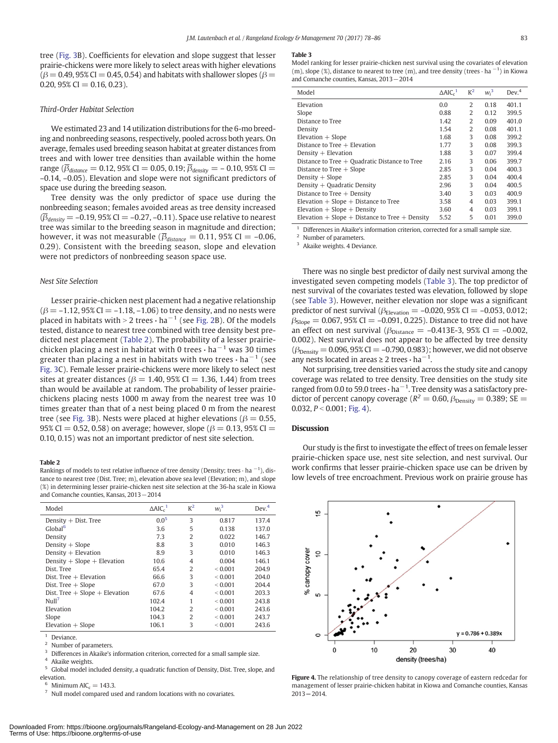tree ([Fig. 3](#page-5-0)B). Coefficients for elevation and slope suggest that lesser prairie-chickens were more likely to select areas with higher elevations  $(\beta = 0.49, 95\% \text{ CI} = 0.45, 0.54)$  and habitats with shallower slopes ( $\beta =$  $0.20, 95\% \text{ CI} = 0.16, 0.23$ ).

# Third-Order Habitat Selection

We estimated 23 and 14 utilization distributions for the 6-mo breeding and nonbreeding seasons, respectively, pooled across both years. On average, females used breeding season habitat at greater distances from trees and with lower tree densities than available within the home range ( $\bar{\beta}_{distance} = 0.12$ , 95% CI = 0.05, 0.19;  $\bar{\beta}_{density} = -0.10$ , 95% CI = –0.14, –0.05). Elevation and slope were not significant predictors of space use during the breeding season.

Tree density was the only predictor of space use during the nonbreeding season; females avoided areas as tree density increased  $(\overline{\beta}_{density} = -0.19, 95\% \text{ CI} = -0.27, -0.11)$ . Space use relative to nearest tree was similar to the breeding season in magnitude and direction; however, it was not measurable ( $\overline{\beta}_{distance} = 0.11$ , 95% CI = -0.06, 0.29). Consistent with the breeding season, slope and elevation were not predictors of nonbreeding season space use.

#### Nest Site Selection

Lesser prairie-chicken nest placement had a negative relationship  $(\beta = -1.12, 95\% \text{ CI} = -1.18, -1.06)$  to tree density, and no nests were placed in habitats with > 2 trees  $\cdot$  ha<sup>-1</sup> (see [Fig. 2B](#page-5-0)). Of the models tested, distance to nearest tree combined with tree density best predicted nest placement (Table 2). The probability of a lesser prairiechicken placing a nest in habitat with 0 trees  $\cdot$  ha<sup>-1</sup> was 30 times greater than placing a nest in habitats with two trees  $\cdot$  ha<sup>-1</sup> (see [Fig. 3](#page-5-0)C). Female lesser prairie-chickens were more likely to select nest sites at greater distances ( $\beta$  = 1.40, 95% CI = 1.36, 1.44) from trees than would be available at random. The probability of lesser prairiechickens placing nests 1000 m away from the nearest tree was 10 times greater than that of a nest being placed 0 m from the nearest tree (see [Fig. 3](#page-5-0)B). Nests were placed at higher elevations ( $\beta = 0.55$ , 95% CI = 0.52, 0.58) on average; however, slope ( $\beta$  = 0.13, 95% CI = 0.10, 0.15) was not an important predictor of nest site selection.

# Table 2

Rankings of models to test relative influence of tree density (Density; trees  $\cdot$  ha  $^{-1}$ ), distance to nearest tree (Dist. Tree; m), elevation above sea level (Elevation; m), and slope (%) in determining lesser prairie-chicken nest site selection at the 36-ha scale in Kiowa and Comanche counties, Kansas, 2013−2014

| Model                              | $\triangle$ AIC <sub>c</sub> <sup>1</sup> | $K^2$          | $w_i^3$     | Dev. <sup>4</sup> |
|------------------------------------|-------------------------------------------|----------------|-------------|-------------------|
| Density $+$ Dist. Tree             | $0.0^{5}$                                 | 3              | 0.817       | 137.4             |
| Global <sup>6</sup>                | 3.6                                       | 5              | 0.138       | 137.0             |
| Density                            | 7.3                                       | $\overline{2}$ | 0.022       | 146.7             |
| Density $+$ Slope                  | 8.8                                       | 3              | 0.010       | 146.3             |
| Density $+$ Elevation              | 8.9                                       | 3              | 0.010       | 146.3             |
| Density $+$ Slope $+$ Elevation    | 10.6                                      | 4              | 0.004       | 146.1             |
| Dist. Tree                         | 65.4                                      | $\overline{2}$ | < 0.001     | 204.9             |
| $Dist$ . Tree $+$ Elevation        | 66.6                                      | 3              | ${}< 0.001$ | 204.0             |
| Dist. Tree $+$ Slope               | 67.0                                      | 3              | < 0.001     | 204.4             |
| Dist. Tree $+$ Slope $+$ Elevation | 67.6                                      | $\overline{4}$ | < 0.001     | 203.3             |
| Nu11 <sup>7</sup>                  | 102.4                                     | 1              | ${}< 0.001$ | 243.8             |
| Elevation                          | 104.2                                     | $\overline{2}$ | ${}< 0.001$ | 243.6             |
| Slope                              | 104.3                                     | $\overline{2}$ | < 0.001     | 243.7             |
| $Elevation + Slope$                | 106.1                                     | 3              | ${}< 0.001$ | 243.6             |
|                                    |                                           |                |             |                   |

Deviance.

Number of parameters.

Differences in Akaike's information criterion, corrected for a small sample size.

Akaike weights.

<sup>5</sup> Global model included density, a quadratic function of Density, Dist. Tree, slope, and elevation.

Minimum AIC<sub>c</sub> = 143.3.<br>Null model compared used and random locations with no covariates.

#### Table 3

| Model                                                | $\triangle$ AIC $^{-1}$ | $K^2$          | $w_i^3$ | Dev. <sup>4</sup> |
|------------------------------------------------------|-------------------------|----------------|---------|-------------------|
| Elevation                                            | 0.0                     | $\overline{2}$ | 0.18    | 401.1             |
| Slope                                                | 0.88                    | 2              | 0.12    | 399.5             |
| Distance to Tree                                     | 1.42                    | 2              | 0.09    | 401.0             |
| Density                                              | 1.54                    | $\overline{2}$ | 0.08    | 401.1             |
| Elevation $+$ Slope                                  | 1.68                    | 3              | 0.08    | 399.2             |
| Distance to Tree $+$ Elevation                       | 1.77                    | 3              | 0.08    | 399.3             |
| Density $+$ Elevation                                | 1.88                    | 3              | 0.07    | 399.4             |
| Distance to Tree $+$ Quadratic Distance to Tree      | 2.16                    | 3              | 0.06    | 399.7             |
| Distance to Tree $+$ Slope                           | 2.85                    | 3              | 0.04    | 400.3             |
| Density $+$ Slope                                    | 2.85                    | 3              | 0.04    | 400.4             |
| Density $+$ Quadratic Density                        | 2.96                    | 3              | 0.04    | 400.5             |
| Distance to Tree $+$ Density                         | 3.40                    | 3              | 0.03    | 400.9             |
| Elevation $+$ Slope $+$ Distance to Tree             | 3.58                    | $\overline{4}$ | 0.03    | 399.1             |
| Elevation $+$ Slope $+$ Density                      | 3.60                    | 4              | 0.03    | 399.1             |
| Elevation $+$ Slope $+$ Distance to Tree $+$ Density | 5.52                    | 5              | 0.01    | 399.0             |

<sup>1</sup> Differences in Akaike's information criterion, corrected for a small sample size.

<sup>2</sup> Number of parameters.

<sup>3</sup> Akaike weights. 4 Deviance.

There was no single best predictor of daily nest survival among the investigated seven competing models (Table 3). The top predictor of nest survival of the covariates tested was elevation, followed by slope (see Table 3). However, neither elevation nor slope was a significant predictor of nest survival ( $\beta_{\text{Elevation}} = -0.020$ , 95% CI = -0.053, 0.012;  $\beta_{Slope} = 0.067, 95\% \text{ CI} = -0.091, 0.225$ ). Distance to tree did not have an effect on nest survival ( $\beta_{Distance} = -0.413E-3$ , 95% CI = -0.002, 0.002). Nest survival does not appear to be affected by tree density  $(\beta_{\text{Density}} = 0.096, 95\% \text{ CI} = -0.790, 0.983)$ ; however, we did not observe any nests located in areas ≥ 2 trees  $\cdot$  ha<sup>-1</sup>.

Not surprising, tree densities varied across the study site and canopy coverage was related to tree density. Tree densities on the study site ranged from 0.0 to 59.0 trees  $\cdot$  ha $^{-1}$ . Tree density was a satisfactory predictor of percent canopy coverage ( $R^2 = 0.60$ ,  $\beta_{\text{Density}} = 0.389$ ; SE = 0.032,  $P < 0.001$ ; Fig. 4).

### **Discussion**

Our study is the first to investigate the effect of trees on female lesser prairie-chicken space use, nest site selection, and nest survival. Our work confirms that lesser prairie-chicken space use can be driven by low levels of tree encroachment. Previous work on prairie grouse has



Figure 4. The relationship of tree density to canopy coverage of eastern redcedar for management of lesser prairie-chicken habitat in Kiowa and Comanche counties, Kansas 2013−2014.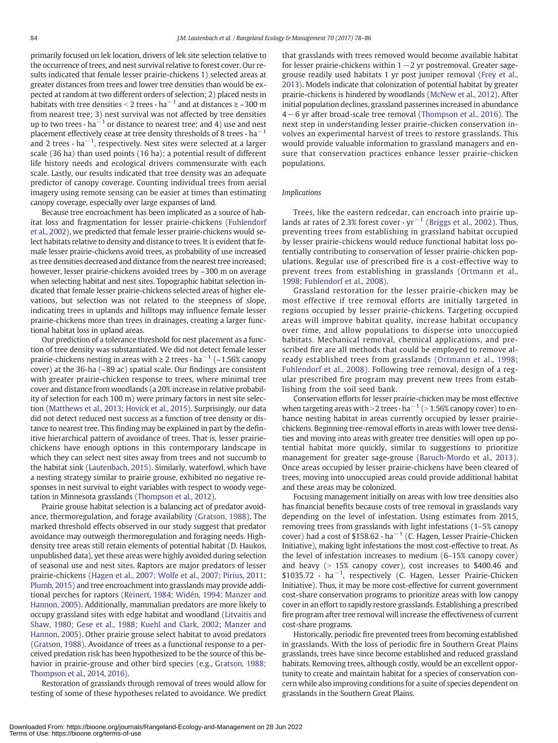primarily focused on lek location, drivers of lek site selection relative to the occurrence of trees, and nest survival relative to forest cover. Our results indicated that female lesser prairie-chickens 1) selected areas at greater distances from trees and lower tree densities than would be expected at random at two different orders of selection; 2) placed nests in habitats with tree densities < 2 trees  $\cdot$  ha<sup> $-1$ </sup> and at distances ≥ ~300 m from nearest tree; 3) nest survival was not affected by tree densities up to two trees  $\cdot$  ha<sup> $-1$ </sup> or distance to nearest tree; and 4) use and nest placement effectively cease at tree density thresholds of 8 trees $\cdot$  ha<sup>-1</sup> and 2 trees  $\cdot$  ha $^{-1}$ , respectively. Nest sites were selected at a larger scale (36 ha) than used points (16 ha); a potential result of different life history needs and ecological drivers commensurate with each scale. Lastly, our results indicated that tree density was an adequate predictor of canopy coverage. Counting individual trees from aerial imagery using remote sensing can be easier at times than estimating canopy coverage, especially over large expanses of land.

Because tree encroachment has been implicated as a source of habitat loss and fragmentation for lesser prairie-chickens [\(Fuhlendorf](#page-8-0) [et al., 2002](#page-8-0)), we predicted that female lesser prairie-chickens would select habitats relative to density and distance to trees. It is evident that female lesser prairie-chickens avoid trees, as probability of use increased as tree densities decreased and distance from the nearest tree increased; however, lesser prairie-chickens avoided trees by ~300 m on average when selecting habitat and nest sites. Topographic habitat selection indicated that female lesser prairie-chickens selected areas of higher elevations, but selection was not related to the steepness of slope, indicating trees in uplands and hilltops may influence female lesser prairie-chickens more than trees in drainages, creating a larger functional habitat loss in upland areas.

Our prediction of a tolerance threshold for nest placement as a function of tree density was substantiated. We did not detect female lesser prairie-chickens nesting in areas with  $\geq 2$  trees  $\cdot$  ha<sup>-1</sup> (~1.56% canopy cover) at the 36-ha (~89 ac) spatial scale. Our findings are consistent with greater prairie-chicken response to trees, where minimal tree cover and distance from woodlands (a 20% increase in relative probability of selection for each 100 m) were primary factors in nest site selection [\(Matthews et al., 2013; Hovick et al., 2015\)](#page-8-0). Surprisingly, our data did not detect reduced nest success as a function of tree density or distance to nearest tree. This finding may be explained in part by the definitive hierarchical pattern of avoidance of trees. That is, lesser prairiechickens have enough options in this contemporary landscape in which they can select nest sites away from trees and not succumb to the habitat sink [\(Lautenbach, 2015\)](#page-8-0). Similarly, waterfowl, which have a nesting strategy similar to prairie grouse, exhibited no negative responses in nest survival to eight variables with respect to woody vegetation in Minnesota grasslands ([Thompson et al., 2012\)](#page-9-0).

Prairie grouse habitat selection is a balancing act of predator avoidance, thermoregulation, and forage availability ([Gratson, 1988](#page-8-0)). The marked threshold effects observed in our study suggest that predator avoidance may outweigh thermoregulation and foraging needs. Highdensity tree areas still retain elements of potential habitat (D. Haukos, unpublished data), yet these areas were highly avoided during selection of seasonal use and nest sites. Raptors are major predators of lesser prairie-chickens [\(Hagen et al., 2007; Wolfe et al., 2007; Pirius, 2011;](#page-8-0) [Plumb, 2015](#page-8-0)) and tree encroachment into grasslands may provide additional perches for raptors [\(Reinert, 1984; Widén, 1994; Manzer and](#page-8-0) [Hannon, 2005\)](#page-8-0). Additionally, mammalian predators are more likely to occupy grassland sites with edge habitat and woodland [\(Litvaitis and](#page-8-0) [Shaw, 1980; Gese et al., 1988; Kuehl and Clark, 2002; Manzer and](#page-8-0) [Hannon, 2005](#page-8-0)). Other prairie grouse select habitat to avoid predators ([Gratson, 1988\)](#page-8-0). Avoidance of trees as a functional response to a perceived predation risk has been hypothesized to be the source of this behavior in prairie-grouse and other bird species (e.g., [Gratson, 1988;](#page-8-0) [Thompson et al., 2014, 2016](#page-8-0)).

Restoration of grasslands through removal of trees would allow for testing of some of these hypotheses related to avoidance. We predict that grasslands with trees removed would become available habitat for lesser prairie-chickens within 1−2 yr postremoval. Greater sagegrouse readily used habitats 1 yr post juniper removal [\(Frey et al.,](#page-8-0) [2013](#page-8-0)). Models indicate that colonization of potential habitat by greater prairie-chickens is hindered by woodlands [\(McNew et al., 2012](#page-8-0)). After initial population declines, grassland passerines increased in abundance 4−6 yr after broad-scale tree removal ([Thompson et al., 2016](#page-9-0)). The next step in understanding lesser prairie-chicken conservation involves an experimental harvest of trees to restore grasslands. This would provide valuable information to grassland managers and ensure that conservation practices enhance lesser prairie-chicken populations.

# Implications

Trees, like the eastern redcedar, can encroach into prairie uplands at rates of 2.3% forest cover ∙ yr−<sup>1</sup> ([Briggs et al., 2002\)](#page-8-0). Thus, preventing trees from establishing in grassland habitat occupied by lesser prairie-chickens would reduce functional habitat loss potentially contributing to conservation of lesser prairie-chicken populations. Regular use of prescribed fire is a cost-effective way to prevent trees from establishing in grasslands ([Ortmann et al.,](#page-8-0) [1998; Fuhlendorf et al., 2008](#page-8-0)).

Grassland restoration for the lesser prairie-chicken may be most effective if tree removal efforts are initially targeted in regions occupied by lesser prairie-chickens. Targeting occupied areas will improve habitat quality, increase habitat occupancy over time, and allow populations to disperse into unoccupied habitats. Mechanical removal, chemical applications, and prescribed fire are all methods that could be employed to remove already established trees from grasslands ([Ortmann et al., 1998;](#page-8-0) [Fuhlendorf et al., 2008\)](#page-8-0). Following tree removal, design of a regular prescribed fire program may prevent new trees from establishing from the soil seed bank.

Conservation efforts for lesser prairie-chicken may be most effective when targeting areas with > 2 trees  $\cdot$  ha<sup> $-1$ </sup> (> 1.56% canopy cover) to enhance nesting habitat in areas currently occupied by lesser prairiechickens. Beginning tree-removal efforts in areas with lower tree densities and moving into areas with greater tree densities will open up potential habitat more quickly, similar to suggestions to prioritize management for greater sage-grouse ([Baruch-Mordo et al., 2013](#page-8-0)). Once areas occupied by lesser prairie-chickens have been cleared of trees, moving into unoccupied areas could provide additional habitat and these areas may be colonized.

Focusing management initially on areas with low tree densities also has financial benefits because costs of tree removal in grasslands vary depending on the level of infestation. Using estimates from 2015, removing trees from grasslands with light infestations (1–5% canopy cover) had a cost of \$158.62 ∙ ha−<sup>1</sup> (C. Hagen, Lesser Prairie-Chicken Initiative), making light infestations the most cost-effective to treat. As the level of infestation increases to medium (6–15% canopy cover) and heavy  $(> 15%$  canopy cover), cost increases to \$400.46 and \$1035.72 ∙ ha−<sup>1</sup> , respectively (C. Hagen, Lesser Prairie-Chicken Initiative). Thus, it may be more cost-effective for current government cost-share conservation programs to prioritize areas with low canopy cover in an effort to rapidly restore grasslands. Establishing a prescribed fire program after tree removal will increase the effectiveness of current cost-share programs.

Historically, periodic fire prevented trees from becoming established in grasslands. With the loss of periodic fire in Southern Great Plains grasslands, trees have since become established and reduced grassland habitats. Removing trees, although costly, would be an excellent opportunity to create and maintain habitat for a species of conservation concern while also improving conditions for a suite of species dependent on grasslands in the Southern Great Plains.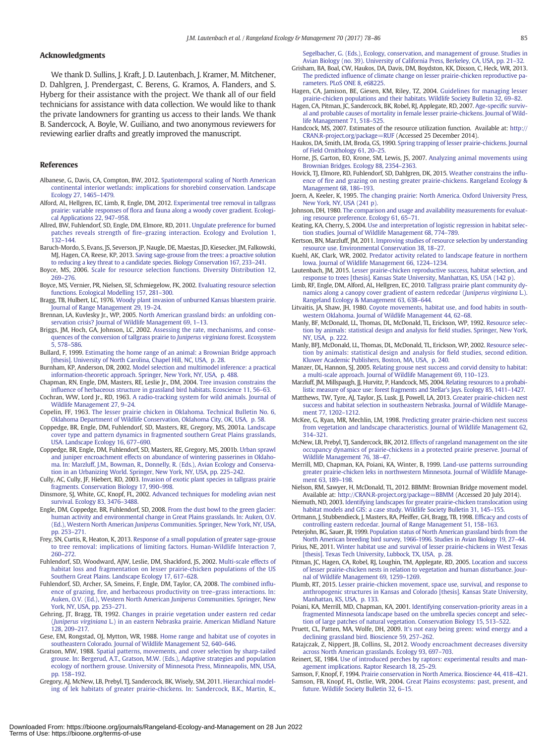# <span id="page-8-0"></span>Acknowledgments

We thank D. Sullins, J. Kraft, J. D. Lautenbach, J. Kramer, M. Mitchener, D. Dahlgren, J. Prendergast, C. Berens, G. Kramos, A. Flanders, and S. Hyberg for their assistance with the project. We thank all of our field technicians for assistance with data collection. We would like to thank the private landowners for granting us access to their lands. We thank B. Sandercock, A. Boyle, W. Guiliano, and two anonymous reviewers for reviewing earlier drafts and greatly improved the manuscript.

#### References

- Albanese, G, Davis, CA, Compton, BW, 2012. [Spatiotemporal scaling of North American](http://refhub.elsevier.com/S1550-7424(16)30054-9/rf0005) [continental interior wetlands: implications for shorebird conservation. Landscape](http://refhub.elsevier.com/S1550-7424(16)30054-9/rf0005) [Ecology 27, 1465](http://refhub.elsevier.com/S1550-7424(16)30054-9/rf0005)–1479.
- Alford, AL, Hellgren, EC, Limb, R, Engle, DM, 2012. [Experimental tree removal in tallgrass](http://refhub.elsevier.com/S1550-7424(16)30054-9/rf0010) prairie: variable responses of fl[ora and fauna along a woody cover gradient. Ecologi](http://refhub.elsevier.com/S1550-7424(16)30054-9/rf0010)[cal Applications 22, 947](http://refhub.elsevier.com/S1550-7424(16)30054-9/rf0010)–958.
- Allred, BW, Fuhlendorf, SD, Engle, DM, Elmore, RD, 2011. [Ungulate preference for burned](http://refhub.elsevier.com/S1550-7424(16)30054-9/rf0015) patches reveals strength of fire–[grazing interaction. Ecology and Evolution 1,](http://refhub.elsevier.com/S1550-7424(16)30054-9/rf0015) [132](http://refhub.elsevier.com/S1550-7424(16)30054-9/rf0015)–144.
- Baruch-Mordo, S, Evans, JS, Severson, JP, Naugle, DE, Maestas, JD, Kiesecker, JM, Falkowski, MJ, Hagen, CA, Reese, KP, 2013. [Saving sage-grouse from the trees: a proactive solution](http://refhub.elsevier.com/S1550-7424(16)30054-9/rf0020) [to reducing a key threat to a candidate species. Biology Conservation 167, 233](http://refhub.elsevier.com/S1550-7424(16)30054-9/rf0020)–241.
- Boyce, MS, 2006. [Scale for resource selection functions. Diversity Distribution 12,](http://refhub.elsevier.com/S1550-7424(16)30054-9/rf0025) [269](http://refhub.elsevier.com/S1550-7424(16)30054-9/rf0025)–276.
- Boyce, MS, Vernier, PR, Nielsen, SE, Schmiegelow, FK, 2002. [Evaluating resource selection](http://refhub.elsevier.com/S1550-7424(16)30054-9/rf0030) [functions. Ecological Modelling 157, 281](http://refhub.elsevier.com/S1550-7424(16)30054-9/rf0030)–300.
- Bragg, TB, Hulbert, LC, 1976. [Woody plant invasion of unburned Kansas bluestem prairie.](http://refhub.elsevier.com/S1550-7424(16)30054-9/rf0035) [Journal of Range Management 29, 19](http://refhub.elsevier.com/S1550-7424(16)30054-9/rf0035)–24.
- Brennan, LA, Kuvlesky Jr., WP, 2005. [North American grassland birds: an unfolding con](http://refhub.elsevier.com/S1550-7424(16)30054-9/rf0040)[servation crisis? Journal of Wildlife Management 69, 1](http://refhub.elsevier.com/S1550-7424(16)30054-9/rf0040)–13.
- Briggs, JM, Hoch, GA, Johnson, LC, 2002. [Assessing the rate, mechanisms, and conse](http://refhub.elsevier.com/S1550-7424(16)30054-9/rf0045)[quences of the conversion of tallgrass prairie to](http://refhub.elsevier.com/S1550-7424(16)30054-9/rf0045) Juniperus virginiana forest. Ecosystem [5, 578](http://refhub.elsevier.com/S1550-7424(16)30054-9/rf0045)–586.
- Bullard, F, 1999. [Estimating the home range of an animal: a Brownian Bridge approach](http://refhub.elsevier.com/S1550-7424(16)30054-9/rf0050) [\[thesis\]. University of North Carolina, Chapel Hill, NC, USA, p. 28.](http://refhub.elsevier.com/S1550-7424(16)30054-9/rf0050)
- Burnham, KP, Anderson, DR, 2002. [Model selection and multimodel inference: a practical](http://refhub.elsevier.com/S1550-7424(16)30054-9/rf0055) [information-theoretic approach. Springer, New York, NY, USA, p. 488](http://refhub.elsevier.com/S1550-7424(16)30054-9/rf0055).
- Chapman, RN, Engle, DM, Masters, RE, Leslie Jr., DM, 2004. [Tree invasion constrains the](http://refhub.elsevier.com/S1550-7424(16)30054-9/rf0060) infl[uence of herbaceous structure in grassland bird habitats. Ecoscience 11, 56](http://refhub.elsevier.com/S1550-7424(16)30054-9/rf0060)–63.
- Cochran, WW, Lord Jr., RD, 1963. [A radio-tracking system for wild animals. Journal of](http://refhub.elsevier.com/S1550-7424(16)30054-9/rf0065) [Wildlife Management 27, 9](http://refhub.elsevier.com/S1550-7424(16)30054-9/rf0065)–24.
- Copelin, FF, 1963. [The lesser prairie chicken in Oklahoma. Technical Bulletin No. 6,](http://refhub.elsevier.com/S1550-7424(16)30054-9/rf0070) [Oklahoma Department of Wildlife Conservation, Oklahoma City, OK, USA, p. 58](http://refhub.elsevier.com/S1550-7424(16)30054-9/rf0070).
- Coppedge, BR, Engle, DM, Fuhlendorf, SD, Masters, RE, Gregory, MS, 2001a. [Landscape](http://refhub.elsevier.com/S1550-7424(16)30054-9/rf0075) [cover type and pattern dynamics in fragmented southern Great Plains grasslands,](http://refhub.elsevier.com/S1550-7424(16)30054-9/rf0075) [USA. Landscape Ecology 16, 677](http://refhub.elsevier.com/S1550-7424(16)30054-9/rf0075)–690.
- Coppedge, BR, Engle, DM, Fuhlendorf, SD, Masters, RE, Gregory, MS, 2001b. [Urban sprawl](http://refhub.elsevier.com/S1550-7424(16)30054-9/rf0080) [and juniper encroachment effects on abundance of wintering passerines in Oklaho](http://refhub.elsevier.com/S1550-7424(16)30054-9/rf0080)[ma. In: Marzluff, J.M., Bowman, R., Donnelly, R. \(Eds.\), Avian Ecology and Conserva](http://refhub.elsevier.com/S1550-7424(16)30054-9/rf0080)[tion in an Urbanizing World. Springer, New York, NY, USA, pp. 225](http://refhub.elsevier.com/S1550-7424(16)30054-9/rf0080)–242.
- Cully, AC, Cully, JF, Hiebert, RD, 2003. [Invasion of exotic plant species in tallgrass prairie](http://refhub.elsevier.com/S1550-7424(16)30054-9/rf0085) [fragments. Conservation Biology 17, 990](http://refhub.elsevier.com/S1550-7424(16)30054-9/rf0085)–998.
- Dinsmore, SJ, White, GC, Knopf, FL, 2002. [Advanced techniques for modeling avian nest](http://refhub.elsevier.com/S1550-7424(16)30054-9/rf0090) [survival. Ecology 83, 3476](http://refhub.elsevier.com/S1550-7424(16)30054-9/rf0090)–3488.
- Engle, DM, Coppedge, BR, Fuhlendorf, SD, 2008. [From the dust bowl to the green glacier:](http://refhub.elsevier.com/S1550-7424(16)30054-9/rf0095) [human activity and environmental change in Great Plains grasslands. In: Auken, O.V.](http://refhub.elsevier.com/S1550-7424(16)30054-9/rf0095) (Ed.), Western North American Juniperus [Communities. Springer, New York, NY, USA,](http://refhub.elsevier.com/S1550-7424(16)30054-9/rf0095) [pp. 253](http://refhub.elsevier.com/S1550-7424(16)30054-9/rf0095)–271.
- Frey, SN, Curtis, R, Heaton, K, 2013. [Response of a small population of greater sage-grouse](http://refhub.elsevier.com/S1550-7424(16)30054-9/rf0100) [to tree removal: implications of limiting factors. Human-Wildlife Interaction 7,](http://refhub.elsevier.com/S1550-7424(16)30054-9/rf0100) [260](http://refhub.elsevier.com/S1550-7424(16)30054-9/rf0100)–272.
- Fuhlendorf, SD, Woodward, AJW, Leslie, DM, Shackford, JS, 2002. [Multi-scale effects of](http://refhub.elsevier.com/S1550-7424(16)30054-9/rf0105) [habitat loss and fragmentation on lesser prairie-chicken populations of the US](http://refhub.elsevier.com/S1550-7424(16)30054-9/rf0105) [Southern Great Plains. Landscape Ecology 17, 617](http://refhub.elsevier.com/S1550-7424(16)30054-9/rf0105)–628.
- Fuhlendorf, SD, Archer, SA, Smeins, F, Engle, DM, Taylor, CA, 2008. [The combined in](http://refhub.elsevier.com/S1550-7424(16)30054-9/rf0110)fluence of grazing, fi[re, and herbaceous productivity on tree](http://refhub.elsevier.com/S1550-7424(16)30054-9/rf0110)–grass interactions. In: [Auken, O.V. \(Ed.\), Western North American](http://refhub.elsevier.com/S1550-7424(16)30054-9/rf0110) Juniperus Communities. Springer, New [York, NY, USA, pp. 253](http://refhub.elsevier.com/S1550-7424(16)30054-9/rf0110)–271.
- Gehring, JT, Bragg, TB, 1992. [Changes in prairie vegetation under eastern red cedar](http://refhub.elsevier.com/S1550-7424(16)30054-9/rf0115) (Juniperus virginiana [L.\) in an eastern Nebraska prairie. American Midland Nature](http://refhub.elsevier.com/S1550-7424(16)30054-9/rf0115) [128, 209](http://refhub.elsevier.com/S1550-7424(16)30054-9/rf0115)–217.
- Gese, EM, Rongstad, OJ, Mytton, WR, 1988. [Home range and habitat use of coyotes in](http://refhub.elsevier.com/S1550-7424(16)30054-9/rf0120) [southeastern Colorado. Journal of Wildlife Management 52, 640](http://refhub.elsevier.com/S1550-7424(16)30054-9/rf0120)–646.
- Gratson, MW, 1988. [Spatial patterns, movements, and cover selection by sharp-tailed](http://refhub.elsevier.com/S1550-7424(16)30054-9/rf0125) [grouse. In: Bergerud, A.T., Gratson, M.W. \(Eds.\), Adaptive strategies and population](http://refhub.elsevier.com/S1550-7424(16)30054-9/rf0125) [ecology of northern grouse. University of Minnesota Press, Minneapolis, MN, USA,](http://refhub.elsevier.com/S1550-7424(16)30054-9/rf0125) [pp. 158](http://refhub.elsevier.com/S1550-7424(16)30054-9/rf0125)–192.
- Gregory, AJ, McNew, LB, Prebyl, TJ, Sandercock, BK, Wisely, SM, 2011. [Hierarchical model](http://refhub.elsevier.com/S1550-7424(16)30054-9/rf0130)[ing of lek habitats of greater prairie-chickens. In: Sandercock, B.K., Martin, K.,](http://refhub.elsevier.com/S1550-7424(16)30054-9/rf0130)

[Segelbacher, G. \(Eds.\), Ecology, conservation, and management of grouse. Studies in](http://refhub.elsevier.com/S1550-7424(16)30054-9/rf0130) [Avian Biology \(no. 39\). University of California Press, Berkeley, CA, USA, pp. 21](http://refhub.elsevier.com/S1550-7424(16)30054-9/rf0130)–32.

- Grisham, BA, Boal, CW, Haukos, DA, Davis, DM, Boydston, KK, Dixson, C, Heck, WR, 2013. The predicted infl[uence of climate change on lesser prairie-chicken reproductive pa](http://refhub.elsevier.com/S1550-7424(16)30054-9/rf0135)[rameters. PLoS ONE 8, e68225](http://refhub.elsevier.com/S1550-7424(16)30054-9/rf0135).
- Hagen, CA, Jamison, BE, Giesen, KM, Riley, TZ, 2004. [Guidelines for managing lesser](http://refhub.elsevier.com/S1550-7424(16)30054-9/rf0140) [prairie-chicken populations and their habitats. Wildlife Society Bulletin 32, 69](http://refhub.elsevier.com/S1550-7424(16)30054-9/rf0140)–82.
- Hagen, CA, Pitman, JC, Sandercock, BK, Robel, RJ, Applegate, RD, 2007. [Age-speci](http://refhub.elsevier.com/S1550-7424(16)30054-9/rf0145)fic surviv[al and probable causes of mortality in female lesser prairie-chickens. Journal of Wild](http://refhub.elsevier.com/S1550-7424(16)30054-9/rf0145)[life Management 71, 518](http://refhub.elsevier.com/S1550-7424(16)30054-9/rf0145)–525.
- Handcock, MS, 2007. Estimates of the resource utilization function. Available at: [http://](http://cran.r-project.org/package=RUF) [CRAN.R-project.org/package=RUF](http://cran.r-project.org/package=RUF) (Accessed 25 December 2014).
- Haukos, DA, Smith, LM, Broda, GS, 1990. [Spring trapping of lesser prairie-chickens. Journal](http://refhub.elsevier.com/S1550-7424(16)30054-9/rf0165) [of Field Ornithology 61, 20](http://refhub.elsevier.com/S1550-7424(16)30054-9/rf0165)–25.
- Horne, JS, Garton, EO, Krone, SM, Lewis, JS, 2007. [Analyzing animal movements using](http://refhub.elsevier.com/S1550-7424(16)30054-9/rf0170) [Brownian Bridges. Ecology 88, 2354](http://refhub.elsevier.com/S1550-7424(16)30054-9/rf0170)–2363.
- Hovick, TJ, Elmore, RD, Fuhlendorf, SD, Dahlgren, DK, 2015. [Weather constrains the in](http://refhub.elsevier.com/S1550-7424(16)30054-9/rf0175)fluence of fi[re and grazing on nesting greater prairie-chickens. Rangeland Ecology &](http://refhub.elsevier.com/S1550-7424(16)30054-9/rf0175) [Management 68, 186](http://refhub.elsevier.com/S1550-7424(16)30054-9/rf0175)–193.
- Joern, A, Keeler, K, 1995. [The changing prairie: North America. Oxford University Press,](http://refhub.elsevier.com/S1550-7424(16)30054-9/rf0180) [New York, NY, USA \(241 p\).](http://refhub.elsevier.com/S1550-7424(16)30054-9/rf0180)
- Johnson, DH, 1980. [The comparison and usage and availability measurements for evaluat](http://refhub.elsevier.com/S1550-7424(16)30054-9/rf0185)[ing resource preference. Ecology 61, 65](http://refhub.elsevier.com/S1550-7424(16)30054-9/rf0185)–71.
- Keating, KA, Cherry, S, 2004. [Use and interpretation of logistic regression in habitat selec](http://refhub.elsevier.com/S1550-7424(16)30054-9/rf0190)[tion studies. Journal of Wildlife Management 68, 774](http://refhub.elsevier.com/S1550-7424(16)30054-9/rf0190)–789.
- Kertson, BN, Marzluff, JM, 2011. [Improving studies of resource selection by understanding](http://refhub.elsevier.com/S1550-7424(16)30054-9/rf0195) [resource use. Environmental Conservation 38, 18](http://refhub.elsevier.com/S1550-7424(16)30054-9/rf0195)–27.
- Kuehl, AK, Clark, WR, 2002. [Predator activity related to landscape feature in northern](http://refhub.elsevier.com/S1550-7424(16)30054-9/rf0200) [Iowa. Journal of Wildlife Management 66, 1224](http://refhub.elsevier.com/S1550-7424(16)30054-9/rf0200)–1234.
- Lautenbach, JM, 2015. [Lesser prairie-chicken reproductive success, habitat selection, and](http://refhub.elsevier.com/S1550-7424(16)30054-9/rf0205) [response to trees \[thesis\]. Kansas State University, Manhattan, KS, USA \(142 p\).](http://refhub.elsevier.com/S1550-7424(16)30054-9/rf0205)
- Limb, RF, Engle, DM, Alford, AL, Hellgren, EC, 2010. [Tallgrass prairie plant community dy](http://refhub.elsevier.com/S1550-7424(16)30054-9/rf0210)[namics along a canopy cover gradient of eastern redcedar \(](http://refhub.elsevier.com/S1550-7424(16)30054-9/rf0210)Juniperus virginiana L.). [Rangeland Ecology & Management 63, 638](http://refhub.elsevier.com/S1550-7424(16)30054-9/rf0210)–644.
- Litvaitis, JA, Shaw, JH, 1980. [Coyote movements, habitat use, and food habits in south](http://refhub.elsevier.com/S1550-7424(16)30054-9/rf0215)[western Oklahoma. Journal of Wildlife Management 44, 62](http://refhub.elsevier.com/S1550-7424(16)30054-9/rf0215)–68.
- Manly, BF, McDonald, LL, Thomas, DL, McDonald, TL, Erickson, WP, 1992. [Resource selec](http://refhub.elsevier.com/S1550-7424(16)30054-9/rf0220)[tion by animals: statistical design and analysis for](http://refhub.elsevier.com/S1550-7424(16)30054-9/rf0220) field studies. Springer, New York, [NY, USA, p. 222.](http://refhub.elsevier.com/S1550-7424(16)30054-9/rf0220)
- Manly, BFJ, McDonald, LL, Thomas, DL, McDonald, TL, Erickson, WP, 2002. [Resource selec](http://refhub.elsevier.com/S1550-7424(16)30054-9/rf2255)[tion by animals: statistical design and analysis for](http://refhub.elsevier.com/S1550-7424(16)30054-9/rf2255) field studies, second edition. [Kluwer Academic Publishers, Boston, MA, USA, p. 240](http://refhub.elsevier.com/S1550-7424(16)30054-9/rf2255).
- Manzer, DL, Hannon, SJ, 2005. [Relating grouse nest success and corvid density to habitat:](http://refhub.elsevier.com/S1550-7424(16)30054-9/rf0225) [a multi-scale approach. Journal of Wildlife Management 69, 110](http://refhub.elsevier.com/S1550-7424(16)30054-9/rf0225)–123.
- Marzluff, JM, Millspaugh, JJ, Hurvitz, P, Handcock, MS, 2004. [Relating resources to a probabi](http://refhub.elsevier.com/S1550-7424(16)30054-9/rf0230)[listic measure of space use: forest fragments and Stellar's Jays. Ecology 85, 1411](http://refhub.elsevier.com/S1550-7424(16)30054-9/rf0230)–1427.
- Matthews, TW, Tyre, AJ, Taylor, JS, Lusk, JJ, Powell, LA, 2013. [Greater prairie-chicken nest](http://refhub.elsevier.com/S1550-7424(16)30054-9/rf0235) [success and habitat selection in southeastern Nebraska. Journal of Wildlife Manage](http://refhub.elsevier.com/S1550-7424(16)30054-9/rf0235)[ment 77, 1202](http://refhub.elsevier.com/S1550-7424(16)30054-9/rf0235)–1212.
- McKee, G, Ryan, MR, Mechlin, LM, 1998. [Predicting greater prairie-chicken nest success](http://refhub.elsevier.com/S1550-7424(16)30054-9/rf2225) [from vegetation and landscape characteristics. Journal of Wildlife Management 62,](http://refhub.elsevier.com/S1550-7424(16)30054-9/rf2225) [314](http://refhub.elsevier.com/S1550-7424(16)30054-9/rf2225)–321.
- McNew, LB, Prebyl, TJ, Sandercock, BK, 2012. [Effects of rangeland management on the site](http://refhub.elsevier.com/S1550-7424(16)30054-9/rf0240) [occupancy dynamics of prairie-chickens in a protected prairie preserve. Journal of](http://refhub.elsevier.com/S1550-7424(16)30054-9/rf0240) [Wildlife Management 76, 38](http://refhub.elsevier.com/S1550-7424(16)30054-9/rf0240)–47.
- Merrill, MD, Chapman, KA, Poiani, KA, Winter, B, 1999. [Land-use patterns surrounding](http://refhub.elsevier.com/S1550-7424(16)30054-9/rf0245) [greater prairie-chicken leks in northwestern Minnesota. Journal of Wildlife Manage](http://refhub.elsevier.com/S1550-7424(16)30054-9/rf0245)[ment 63, 189](http://refhub.elsevier.com/S1550-7424(16)30054-9/rf0245)–198.
- Nielson, RM, Sawyer, H, McDonald, TL, 2012. BBMM: Brownian Bridge movement model. Available at: [http://CRAN.R-project.org/package=BBMM](http://cran.r-project.org/package=BBMM) (Accessed 20 July 2014).
- Niemuth, ND, 2003. [Identifying landscapes for greater prairie-chicken translocation using](http://refhub.elsevier.com/S1550-7424(16)30054-9/rf0255) [habitat models and GIS: a case study. Wildlife Society Bulletin 31, 145](http://refhub.elsevier.com/S1550-7424(16)30054-9/rf0255)-155.
- Ortmann, J, Stubbendieck, J, Masters, RA, Pfeiffer, GH, Bragg, TB, 1998. Effi[cacy and costs of](http://refhub.elsevier.com/S1550-7424(16)30054-9/rf0260) [controlling eastern redcedar. Journal of Range Management 51, 158](http://refhub.elsevier.com/S1550-7424(16)30054-9/rf0260)–163.
- Peterjohn, BG, Sauer, JR, 1999. [Population status of North American grassland birds from the](http://refhub.elsevier.com/S1550-7424(16)30054-9/rf0265) [North American breeding bird survey, 1966-1996. Studies in Avian Biology 19, 27](http://refhub.elsevier.com/S1550-7424(16)30054-9/rf0265)–44.
- Pirius, NE, 2011. [Winter habitat use and survival of lesser prairie-chickens in West Texas](http://refhub.elsevier.com/S1550-7424(16)30054-9/rf0270) [\[thesis\]. Texas Tech University, Lubbock, TX, USA, p. 28.](http://refhub.elsevier.com/S1550-7424(16)30054-9/rf0270)
- Pitman, JC, Hagen, CA, Robel, RJ, Loughin, TM, Applegate, RD, 2005. [Location and success](http://refhub.elsevier.com/S1550-7424(16)30054-9/rf0275) [of lesser prairie-chicken nests in relation to vegetation and human disturbance. Jour](http://refhub.elsevier.com/S1550-7424(16)30054-9/rf0275)[nal of Wildlife Management 69, 1259](http://refhub.elsevier.com/S1550-7424(16)30054-9/rf0275)–1269.
- Plumb, RT, 2015. [Lesser prairie-chicken movement, space use, survival, and response to](http://refhub.elsevier.com/S1550-7424(16)30054-9/rf0280) [anthropogenic structures in Kansas and Colorado \[thesis\]. Kansas State University,](http://refhub.elsevier.com/S1550-7424(16)30054-9/rf0280) [Manhattan, KS, USA, p. 133.](http://refhub.elsevier.com/S1550-7424(16)30054-9/rf0280)
- Poiani, KA, Merrill, MD, Chapman, KA, 2001. [Identifying conservation-priority areas in a](http://refhub.elsevier.com/S1550-7424(16)30054-9/rf0285) [fragmented Minnesota landscape based on the umbrella species concept and selec](http://refhub.elsevier.com/S1550-7424(16)30054-9/rf0285)[tion of large patches of natural vegetation. Conservation Biology 15, 513](http://refhub.elsevier.com/S1550-7424(16)30054-9/rf0285)–522.
- Pruett, CL, Patten, MA, Wolfe, DH, 2009. [It's not easy being green: wind energy and a](http://refhub.elsevier.com/S1550-7424(16)30054-9/rf0290) [declining grassland bird. Bioscience 59, 257](http://refhub.elsevier.com/S1550-7424(16)30054-9/rf0290)–262.
- Ratajczak, Z, Nippert, JB, Collins, SL, 2012. [Woody encroachment decreases diversity](http://refhub.elsevier.com/S1550-7424(16)30054-9/rf0300) [across North American grasslands. Ecology 93, 697](http://refhub.elsevier.com/S1550-7424(16)30054-9/rf0300)–703.
- Reinert, SE, 1984. [Use of introduced perches by raptors: experimental results and man](http://refhub.elsevier.com/S1550-7424(16)30054-9/rf0305)[agement implications. Raptor Research 18, 25](http://refhub.elsevier.com/S1550-7424(16)30054-9/rf0305)–29.
- Samson, F, Knopf, F, 1994. [Prairie conservation in North America. Bioscience 44, 418](http://refhub.elsevier.com/S1550-7424(16)30054-9/rf0310)–421. Samson, FB, Knopf, FL, Ostlie, WR, 2004. [Great Plains ecosystems: past, present, and](http://refhub.elsevier.com/S1550-7424(16)30054-9/rf0315) [future. Wildlife Society Bulletin 32, 6](http://refhub.elsevier.com/S1550-7424(16)30054-9/rf0315)–15.